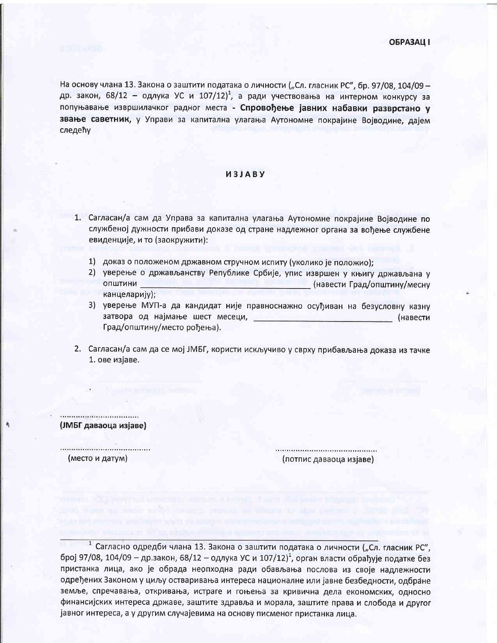На основу члана 13. Закона о заштити података о личности ("Сл. гласник РС", бр. 97/08, 104/09 др. закон, 68/12 - одлука УС и 107/12)<sup>1</sup>, а ради учествовања на интерном конкурсу за попуњавање извршилачког радног места - Спровођење јавних набавки разврстано у звање саветник, у Управи за капитална улагања Аутономне покрајине Војводине, дајем следећу

## *M3JABY*

- 1. Сагласан/а сам да Управа за капитална улагања Аутономне покрајине Војводине по службеној дужности прибави доказе од стране надлежног органа за вођење службене евиденције, и то (заокружити):
	- 1) доказ о положеном државном стручном испиту (уколико је положио);
	- 2) уверење о држављанству Републике Србије, упис извршен у књигу држављана у **ОПШТИНИ** \_ (навести Град/општину/месну канцеларију);
	- 3) уверење МУП-а да кандидат није правноснажно осуђиван на безусловну казну затвора од најмање шест месеци, (навести Град/општину/место рођења).
- 2. Сагласан/а сам да се мој ЈМБГ, користи искључиво у сврху прибављања доказа из тачке 1. ове изјаве.

(ЈМБГ даваоца изјаве)

(место и датум)

(потпис даваоца изјаве)

<sup>1</sup> Сагласно одредби члана 13. Закона о заштити података о личности ("Сл. гласник РС", број 97/08, 104/09 - др.закон, 68/12 - одлука УС и 107/12)<sup>1</sup>, орган власти обрађује податке без пристанка лица, ако је обрада неопходна ради обављања послова из своје надлежности одређених Законом у циљу остваривања интереса националне или јавне безбедности, одбране земље, спречавања, откривања, истраге и гоњења за кривична дела економских, односно финансијских интереса државе, заштите здравља и морала, заштите права и слобода и другог јавног интереса, а у другим случајевима на основу писменог пристанка лица.